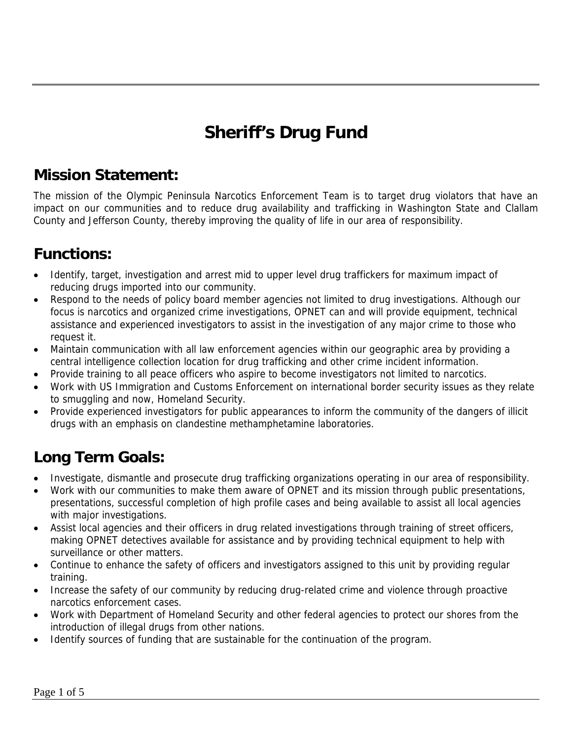# **Sheriff's Drug Fund**

#### **Mission Statement:**

The mission of the Olympic Peninsula Narcotics Enforcement Team is to target drug violators that have an impact on our communities and to reduce drug availability and trafficking in Washington State and Clallam County and Jefferson County, thereby improving the quality of life in our area of responsibility.

#### **Functions:**

- Identify, target, investigation and arrest mid to upper level drug traffickers for maximum impact of reducing drugs imported into our community.
- Respond to the needs of policy board member agencies not limited to drug investigations. Although our focus is narcotics and organized crime investigations, OPNET can and will provide equipment, technical assistance and experienced investigators to assist in the investigation of any major crime to those who request it.
- Maintain communication with all law enforcement agencies within our geographic area by providing a central intelligence collection location for drug trafficking and other crime incident information.
- Provide training to all peace officers who aspire to become investigators not limited to narcotics.
- Work with US Immigration and Customs Enforcement on international border security issues as they relate to smuggling and now, Homeland Security.
- Provide experienced investigators for public appearances to inform the community of the dangers of illicit drugs with an emphasis on clandestine methamphetamine laboratories.

### **Long Term Goals:**

- Investigate, dismantle and prosecute drug trafficking organizations operating in our area of responsibility.
- Work with our communities to make them aware of OPNET and its mission through public presentations, presentations, successful completion of high profile cases and being available to assist all local agencies with major investigations.
- Assist local agencies and their officers in drug related investigations through training of street officers, making OPNET detectives available for assistance and by providing technical equipment to help with surveillance or other matters.
- Continue to enhance the safety of officers and investigators assigned to this unit by providing regular training.
- Increase the safety of our community by reducing drug-related crime and violence through proactive narcotics enforcement cases.
- Work with Department of Homeland Security and other federal agencies to protect our shores from the introduction of illegal drugs from other nations.
- Identify sources of funding that are sustainable for the continuation of the program.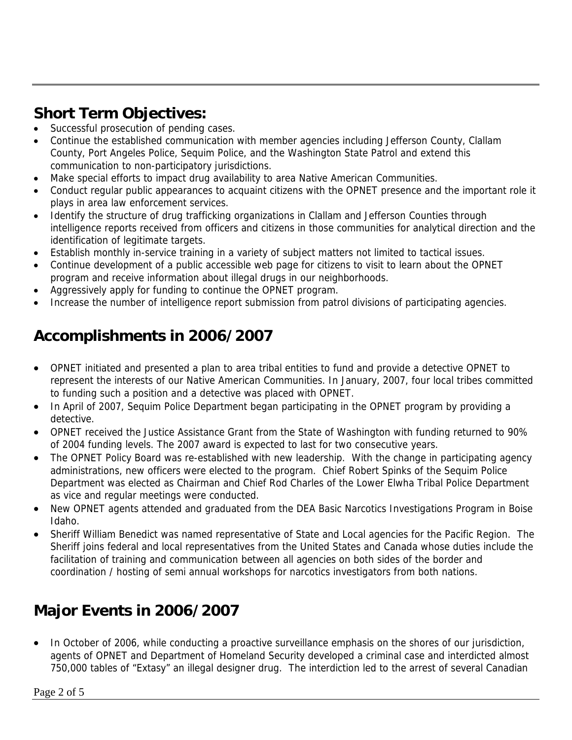### **Short Term Objectives:**

- Successful prosecution of pending cases.
- Continue the established communication with member agencies including Jefferson County, Clallam County, Port Angeles Police, Sequim Police, and the Washington State Patrol and extend this communication to non-participatory jurisdictions.
- Make special efforts to impact drug availability to area Native American Communities.
- Conduct regular public appearances to acquaint citizens with the OPNET presence and the important role it plays in area law enforcement services.
- Identify the structure of drug trafficking organizations in Clallam and Jefferson Counties through intelligence reports received from officers and citizens in those communities for analytical direction and the identification of legitimate targets.
- Establish monthly in-service training in a variety of subject matters not limited to tactical issues.
- Continue development of a public accessible web page for citizens to visit to learn about the OPNET program and receive information about illegal drugs in our neighborhoods.
- Aggressively apply for funding to continue the OPNET program.
- Increase the number of intelligence report submission from patrol divisions of participating agencies.

### **Accomplishments in 2006/2007**

- OPNET initiated and presented a plan to area tribal entities to fund and provide a detective OPNET to represent the interests of our Native American Communities. In January, 2007, four local tribes committed to funding such a position and a detective was placed with OPNET.
- In April of 2007, Sequim Police Department began participating in the OPNET program by providing a detective.
- OPNET received the Justice Assistance Grant from the State of Washington with funding returned to 90% of 2004 funding levels. The 2007 award is expected to last for two consecutive years.
- The OPNET Policy Board was re-established with new leadership. With the change in participating agency administrations, new officers were elected to the program. Chief Robert Spinks of the Sequim Police Department was elected as Chairman and Chief Rod Charles of the Lower Elwha Tribal Police Department as vice and regular meetings were conducted.
- New OPNET agents attended and graduated from the DEA Basic Narcotics Investigations Program in Boise Idaho.
- Sheriff William Benedict was named representative of State and Local agencies for the Pacific Region. The Sheriff joins federal and local representatives from the United States and Canada whose duties include the facilitation of training and communication between all agencies on both sides of the border and coordination / hosting of semi annual workshops for narcotics investigators from both nations.

### **Major Events in 2006/2007**

• In October of 2006, while conducting a proactive surveillance emphasis on the shores of our jurisdiction, agents of OPNET and Department of Homeland Security developed a criminal case and interdicted almost 750,000 tables of "Extasy" an illegal designer drug. The interdiction led to the arrest of several Canadian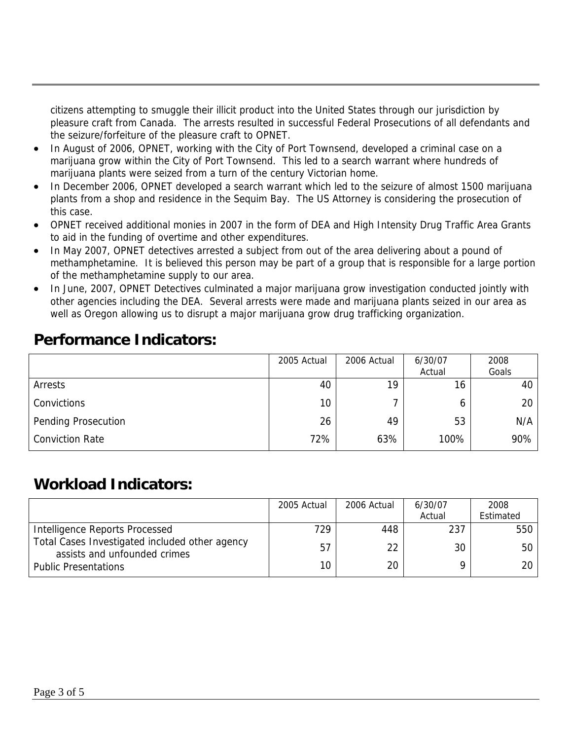citizens attempting to smuggle their illicit product into the United States through our jurisdiction by pleasure craft from Canada. The arrests resulted in successful Federal Prosecutions of all defendants and the seizure/forfeiture of the pleasure craft to OPNET.

- In August of 2006, OPNET, working with the City of Port Townsend, developed a criminal case on a marijuana grow within the City of Port Townsend. This led to a search warrant where hundreds of marijuana plants were seized from a turn of the century Victorian home.
- In December 2006, OPNET developed a search warrant which led to the seizure of almost 1500 marijuana plants from a shop and residence in the Sequim Bay. The US Attorney is considering the prosecution of this case.
- OPNET received additional monies in 2007 in the form of DEA and High Intensity Drug Traffic Area Grants to aid in the funding of overtime and other expenditures.
- In May 2007, OPNET detectives arrested a subject from out of the area delivering about a pound of methamphetamine. It is believed this person may be part of a group that is responsible for a large portion of the methamphetamine supply to our area.
- In June, 2007, OPNET Detectives culminated a major marijuana grow investigation conducted jointly with other agencies including the DEA. Several arrests were made and marijuana plants seized in our area as well as Oregon allowing us to disrupt a major marijuana grow drug trafficking organization.

#### **Performance Indicators:**

|                            | 2005 Actual | 2006 Actual | 6/30/07 | 2008  |
|----------------------------|-------------|-------------|---------|-------|
|                            |             |             | Actual  | Goals |
| Arrests                    | 40          | 19          | 16      | 40    |
| Convictions                | 10          |             | 6       | 20    |
| <b>Pending Prosecution</b> | 26          | 49          | 53      | N/A   |
| <b>Conviction Rate</b>     | 72%         | 63%         | 100%    | 90%   |

#### **Workload Indicators:**

|                                                                                | 2005 Actual | 2006 Actual | 6/30/07 | 2008      |
|--------------------------------------------------------------------------------|-------------|-------------|---------|-----------|
|                                                                                |             |             | Actual  | Estimated |
| Intelligence Reports Processed                                                 | 729         | 448         | 237     | 550       |
| Total Cases Investigated included other agency<br>assists and unfounded crimes | 57          | 22          | 30      | 50        |
| <b>Public Presentations</b>                                                    | 10          | 20          |         | 20        |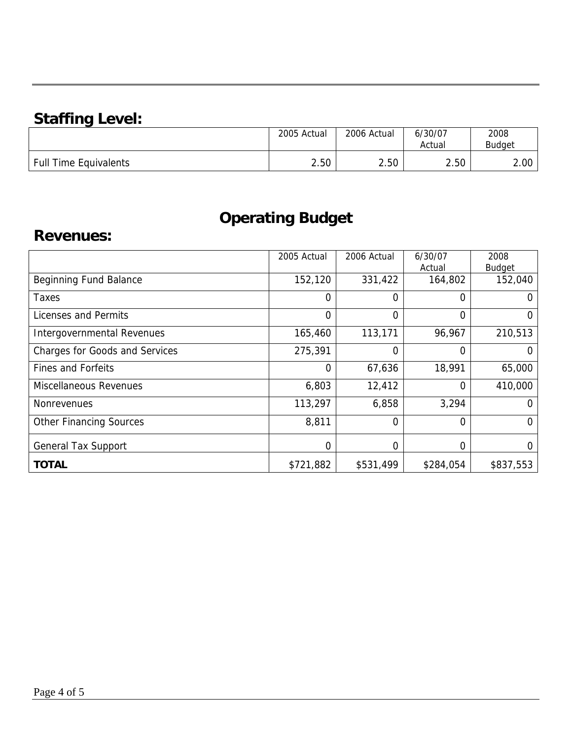## **Staffing Level:**

|                          | 2005 Actual | 2006 Actual | 6/30/07<br>Actual | 2008<br><b>Budget</b> |
|--------------------------|-------------|-------------|-------------------|-----------------------|
| Time Equivalents<br>Full | 2.50        | 2.50        | 2.50              | 2.00                  |

## **Operating Budget**

#### **Revenues:**

|                                       | 2005 Actual | 2006 Actual | 6/30/07<br>Actual | 2008<br><b>Budget</b> |
|---------------------------------------|-------------|-------------|-------------------|-----------------------|
| <b>Beginning Fund Balance</b>         | 152,120     | 331,422     | 164,802           | 152,040               |
| Taxes                                 | 0           | 0           | $\Omega$          | $\Omega$              |
| Licenses and Permits                  | 0           | 0           | $\overline{0}$    | $\Omega$              |
| Intergovernmental Revenues            | 165,460     | 113,171     | 96,967            | 210,513               |
| <b>Charges for Goods and Services</b> | 275,391     | 0           | 0                 | O                     |
| <b>Fines and Forfeits</b>             | 0           | 67,636      | 18,991            | 65,000                |
| Miscellaneous Revenues                | 6,803       | 12,412      | $\Omega$          | 410,000               |
| <b>Nonrevenues</b>                    | 113,297     | 6,858       | 3,294             | 0                     |
| <b>Other Financing Sources</b>        | 8,811       | 0           | $\overline{0}$    | 0                     |
| <b>General Tax Support</b>            | 0           | 0           | 0                 | $\Omega$              |
| <b>TOTAL</b>                          | \$721,882   | \$531,499   | \$284,054         | \$837,553             |